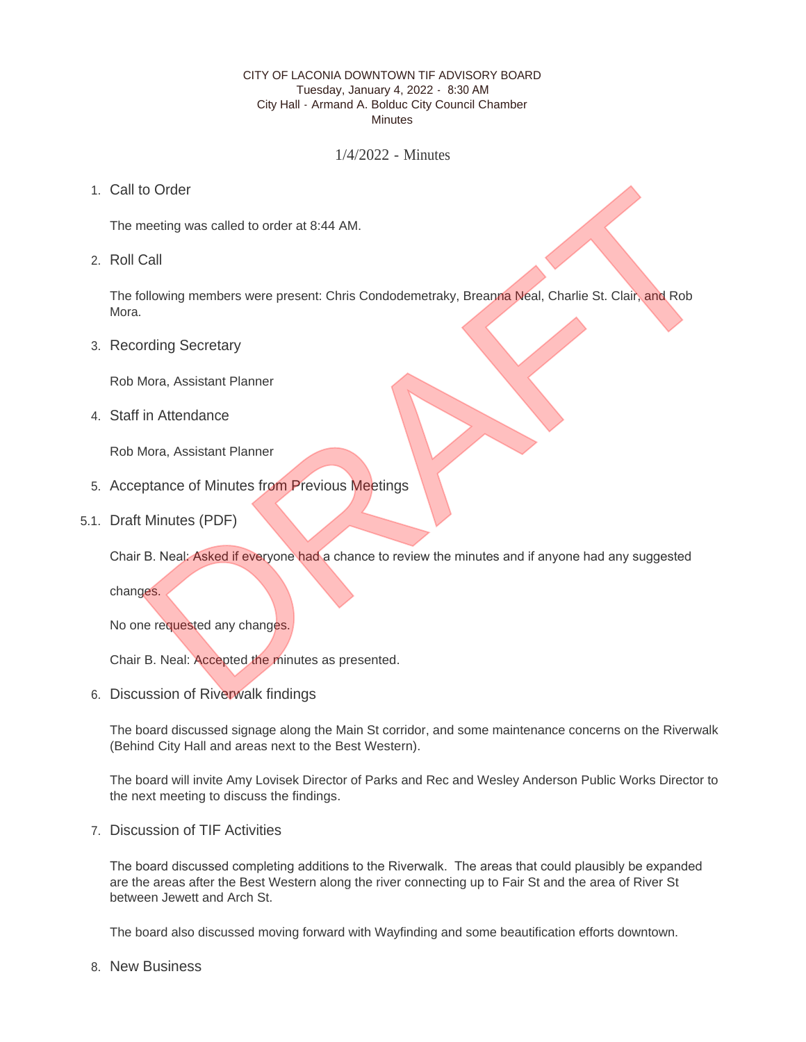## CITY OF LACONIA DOWNTOWN TIF ADVISORY BOARD Tuesday, January 4, 2022 - 8:30 AM City Hall - Armand A. Bolduc City Council Chamber **Minutes**

1/4/2022 - Minutes

1. Call to Order

The meeting was called to order at 8:44 AM.

2. Roll Call

The following members were present: Chris Condodemetraky, Breanna Neal, Charlie St. Clair, and Rob Mora. to Order<br>
Intention was called to order at 8:44 AM.<br>
Call<br>
Illowing members were present: Chris Condodemetraky, Breama Neal, Charlie St. Clair, and Rob<br>
Drama, Assistant Planner<br>
In Attendance<br>
Intervalses from Previous Me

3. Recording Secretary

Rob Mora, Assistant Planner

Staff in Attendance 4.

Rob Mora, Assistant Planner

- 5. Acceptance of Minutes from Previous Meetings
- 5.1. Draft Minutes (PDF)

Chair B. Neal: Asked if everyone had a chance to review the minutes and if anyone had any suggested

changes.

No one requested any changes.

Chair B. Neal: Accepted the minutes as presented.

6. Discussion of Riverwalk findings

The board discussed signage along the Main St corridor, and some maintenance concerns on the Riverwalk (Behind City Hall and areas next to the Best Western).

The board will invite Amy Lovisek Director of Parks and Rec and Wesley Anderson Public Works Director to the next meeting to discuss the findings.

7. Discussion of TIF Activities

The board discussed completing additions to the Riverwalk. The areas that could plausibly be expanded are the areas after the Best Western along the river connecting up to Fair St and the area of River St between Jewett and Arch St.

The board also discussed moving forward with Wayfinding and some beautification efforts downtown.

8. New Business